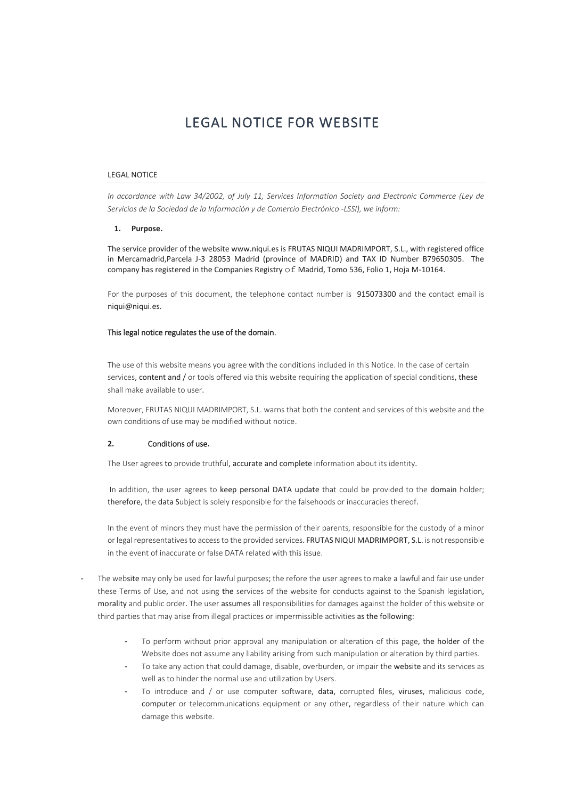# LEGAL NOTICE FOR WEBSITE

## LEGAL NOTICE

*In accordance with Law 34/2002, of July 11, Services Information Society and Electronic Commerce (Ley de Servicios de la Sociedad de la Información y de Comercio Electrónico -LSSI), we inform:*

#### **1. Purpose.**

The service provider of the website www.niqui.es is FRUTAS NIQUI MADRIMPORT, S.L., with registered office in Mercamadrid,Parcela J-3 28053 Madrid (province of MADRID) and TAX ID Number B79650305. The company has registered in the Companies Registry of Madrid, Tomo 536, Folio 1, Hoja M-10164.

For the purposes of this document, the telephone contact number is 915073300 and the contact email is niqui@niqui.es.

#### This legal notice regulates the use of the domain.

The use of this website means you agree with the conditions included in this Notice. In the case of certain services, content and / or tools offered via this website requiring the application of special conditions, these shall make available to user.

Moreover, FRUTAS NIQUI MADRIMPORT, S.L. warns that both the content and services of this website and the own conditions of use may be modified without notice.

### **2.** Conditions of use**.**

The User agrees to provide truthful, accurate and complete information about its identity.

In addition, the user agrees to keep personal DATA update that could be provided to the domain holder; therefore, the data Subject is solely responsible for the falsehoods or inaccuracies thereof.

In the event of minors they must have the permission of their parents, responsible for the custody of a minor or legal representatives to accessto the provided services. FRUTAS NIQUI MADRIMPORT, S.L. is not responsible in the event of inaccurate or false DATA related with this issue.

- The website may only be used for lawful purposes; the refore the user agrees to make a lawful and fair use under these Terms of Use, and not using the services of the website for conducts against to the Spanish legislation, morality and public order. The user assumes all responsibilities for damages against the holder of this website or third parties that may arise from illegal practices or impermissible activities as the following:
	- To perform without prior approval any manipulation or alteration of this page, the holder of the Website does not assume any liability arising from such manipulation or alteration by third parties.
	- To take any action that could damage, disable, overburden, or impair the website and its services as well as to hinder the normal use and utilization by Users.
	- To introduce and / or use computer software, data, corrupted files, viruses, malicious code, computer or telecommunications equipment or any other, regardless of their nature which can damage this website.